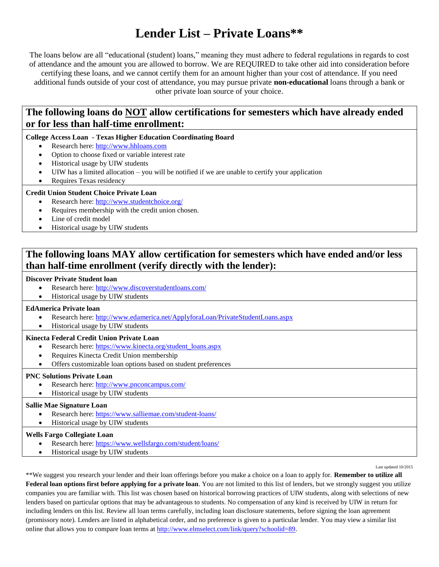## **Lender List – Private Loans\*\***

The loans below are all "educational (student) loans," meaning they must adhere to federal regulations in regards to cost of attendance and the amount you are allowed to borrow. We are REQUIRED to take other aid into consideration before certifying these loans, and we cannot certify them for an amount higher than your cost of attendance. If you need additional funds outside of your cost of attendance, you may pursue private **non-educational** loans through a bank or other private loan source of your choice.

### **The following loans do NOT allow certifications for semesters which have already ended or for less than half-time enrollment:**

#### **College Access Loan - Texas Higher Education Coordinating Board**

- Research here[: http://www.hhloans.com](http://www.hhloans.com/)
- Option to choose fixed or variable interest rate
- Historical usage by UIW students
- UIW has a limited allocation you will be notified if we are unable to certify your application
- Requires Texas residency

#### **Credit Union Student Choice Private Loan**

- Research here[: http://www.studentchoice.org/](http://www.studentchoice.org/)
- Requires membership with the credit union chosen.
- Line of credit model
- Historical usage by UIW students

## **The following loans MAY allow certification for semesters which have ended and/or less than half-time enrollment (verify directly with the lender):**

#### **Discover Private Student loan**

- Research here[: http://www.discoverstudentloans.com/](http://www.discoverstudentloans.com/)
- Historical usage by UIW students

#### **EdAmerica Private loan**

- Research here[: http://www.edamerica.net/ApplyforaLoan/PrivateStudentLoans.aspx](http://www.edamerica.net/ApplyforaLoan/PrivateStudentLoans.aspx)
- Historical usage by UIW students

#### **Kinecta Federal Credit Union Private Loan**

- Research here[: https://www.kinecta.org/student\\_loans.aspx](https://www.kinecta.org/student_loans.aspx)
- Requires Kinecta Credit Union membership
- Offers customizable loan options based on student preferences

#### **PNC Solutions Private Loan**

- Research here[: http://www.pnconcampus.com/](http://www.pnconcampus.com/)
- Historical usage by UIW students

#### **Sallie Mae Signature Loan**

- Research here[: https://www.salliemae.com/student-loans/](https://www.salliemae.com/student-loans/)
- Historical usage by UIW students

### **Wells Fargo Collegiate Loan**

- Research here[: https://www.wellsfargo.com/student/loans/](https://www.wellsfargo.com/student/loans/)
- Historical usage by UIW students

Last updated 10/2015

\*\*We suggest you research your lender and their loan offerings before you make a choice on a loan to apply for. **Remember to utilize all**  Federal loan options first before applying for a private loan. You are not limited to this list of lenders, but we strongly suggest you utilize companies you are familiar with. This list was chosen based on historical borrowing practices of UIW students, along with selections of new lenders based on particular options that may be advantageous to students. No compensation of any kind is received by UIW in return for including lenders on this list. Review all loan terms carefully, including loan disclosure statements, before signing the loan agreement (promissory note). Lenders are listed in alphabetical order, and no preference is given to a particular lender. You may view a similar list online that allows you to compare loan terms at [http://www.elmselect.com/link/query?schoolid=89.](http://www.elmselect.com/link/query?schoolid=89)